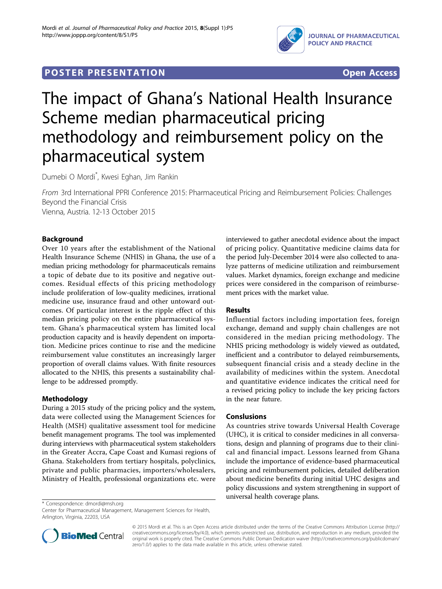

# **POSTER PRESENTATION CONSUMING ACCESS**

# The impact of Ghana's National Health Insurance Scheme median pharmaceutical pricing methodology and reimbursement policy on the pharmaceutical system

Dumebi O Mordi\* , Kwesi Eghan, Jim Rankin

From 3rd International PPRI Conference 2015: Pharmaceutical Pricing and Reimbursement Policies: Challenges Beyond the Financial Crisis Vienna, Austria. 12-13 October 2015

## Background

Over 10 years after the establishment of the National Health Insurance Scheme (NHIS) in Ghana, the use of a median pricing methodology for pharmaceuticals remains a topic of debate due to its positive and negative outcomes. Residual effects of this pricing methodology include proliferation of low-quality medicines, irrational medicine use, insurance fraud and other untoward outcomes. Of particular interest is the ripple effect of this median pricing policy on the entire pharmaceutical system. Ghana's pharmaceutical system has limited local production capacity and is heavily dependent on importation. Medicine prices continue to rise and the medicine reimbursement value constitutes an increasingly larger proportion of overall claims values. With finite resources allocated to the NHIS, this presents a sustainability challenge to be addressed promptly.

### Methodology

During a 2015 study of the pricing policy and the system, data were collected using the Management Sciences for Health (MSH) qualitative assessment tool for medicine benefit management programs. The tool was implemented during interviews with pharmaceutical system stakeholders in the Greater Accra, Cape Coast and Kumasi regions of Ghana. Stakeholders from tertiary hospitals, polyclinics, private and public pharmacies, importers/wholesalers, Ministry of Health, professional organizations etc. were

interviewed to gather anecdotal evidence about the impact of pricing policy. Quantitative medicine claims data for the period July-December 2014 were also collected to analyze patterns of medicine utilization and reimbursement values. Market dynamics, foreign exchange and medicine prices were considered in the comparison of reimbursement prices with the market value.

#### Results

Influential factors including importation fees, foreign exchange, demand and supply chain challenges are not considered in the median pricing methodology. The NHIS pricing methodology is widely viewed as outdated, inefficient and a contributor to delayed reimbursements, subsequent financial crisis and a steady decline in the availability of medicines within the system. Anecdotal and quantitative evidence indicates the critical need for a revised pricing policy to include the key pricing factors in the near future.

### Conslusions

As countries strive towards Universal Health Coverage (UHC), it is critical to consider medicines in all conversations, design and planning of programs due to their clinical and financial impact. Lessons learned from Ghana include the importance of evidence-based pharmaceutical pricing and reimbursement policies, detailed deliberation about medicine benefits during initial UHC designs and policy discussions and system strengthening in support of universal health coverage plans.

\* Correspondence: [dmordi@msh.org](mailto:dmordi@msh.org)

Center for Pharmaceutical Management, Management Sciences for Health, Arlington, Virginia, 22203, USA



© 2015 Mordi et al. This is an Open Access article distributed under the terms of the Creative Commons Attribution License [\(http://](http://creativecommons.org/licenses/by/4.0) [creativecommons.org/licenses/by/4.0](http://creativecommons.org/licenses/by/4.0)), which permits unrestricted use, distribution, and reproduction in any medium, provided the original work is properly cited. The Creative Commons Public Domain Dedication waiver ([http://creativecommons.org/publicdomain/](http://creativecommons.org/publicdomain/zero/1.0/) [zero/1.0/](http://creativecommons.org/publicdomain/zero/1.0/)) applies to the data made available in this article, unless otherwise stated.